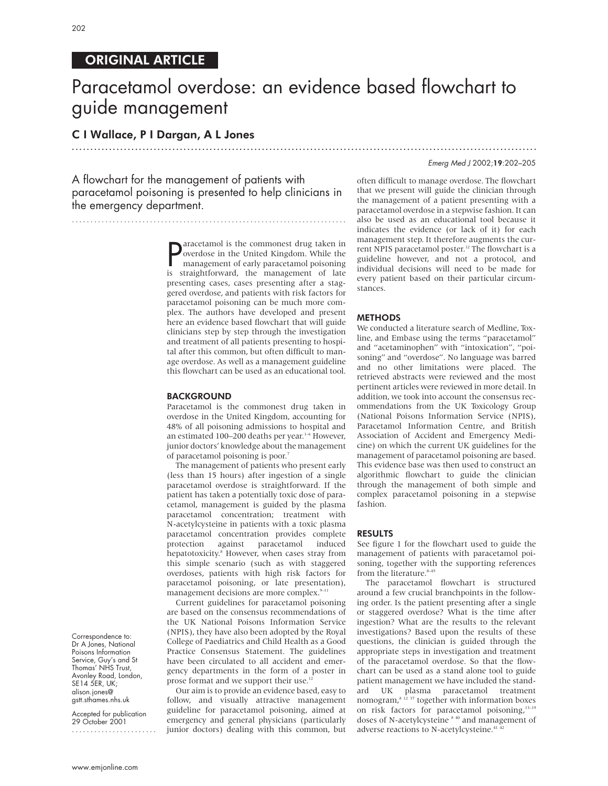# ORIGINAL ARTICLE

# Paracetamol overdose: an evidence based flowchart to guide management

.............................................................................................................................

## C I Wallace, P I Dargan, A L Jones

A flowchart for the management of patients with paracetamol poisoning is presented to help clinicians in the emergency department.

..........................................................................

**P**<br>aracetamol is the commonest drug taken in<br>management of early paracetamol poisoning<br>is straightforward the management of late overdose in the United Kingdom. While the management of early paracetamol poisoning is straightforward, the management of late presenting cases, cases presenting after a staggered overdose, and patients with risk factors for paracetamol poisoning can be much more complex. The authors have developed and present here an evidence based flowchart that will guide clinicians step by step through the investigation and treatment of all patients presenting to hospital after this common, but often difficult to manage overdose. As well as a management guideline this flowchart can be used as an educational tool.

## **BACKGROUND**

Paracetamol is the commonest drug taken in overdose in the United Kingdom, accounting for 48% of all poisoning admissions to hospital and an estimated 100–200 deaths per year.<sup>1-6</sup> However, junior doctors' knowledge about the management of paracetamol poisoning is poor.7

The management of patients who present early (less than 15 hours) after ingestion of a single paracetamol overdose is straightforward. If the patient has taken a potentially toxic dose of paracetamol, management is guided by the plasma paracetamol concentration; treatment with N-acetylcysteine in patients with a toxic plasma paracetamol concentration provides complete<br>protection against paracetamol induced protection against paracetamol hepatotoxicity.<sup>8</sup> However, when cases stray from this simple scenario (such as with staggered overdoses, patients with high risk factors for paracetamol poisoning, or late presentation), management decisions are more complex.<sup>9-11</sup>

Current guidelines for paracetamol poisoning are based on the consensus recommendations of the UK National Poisons Information Service (NPIS), they have also been adopted by the Royal College of Paediatrics and Child Health as a Good Practice Consensus Statement. The guidelines have been circulated to all accident and emergency departments in the form of a poster in prose format and we support their use.<sup>1</sup>

Our aim is to provide an evidence based, easy to follow, and visually attractive management guideline for paracetamol poisoning, aimed at emergency and general physicians (particularly junior doctors) dealing with this common, but

#### Emerg Med J 2002;19:202–205

often difficult to manage overdose. The flowchart that we present will guide the clinician through the management of a patient presenting with a paracetamol overdose in a stepwise fashion. It can also be used as an educational tool because it indicates the evidence (or lack of it) for each management step. It therefore augments the current NPIS paracetamol poster.<sup>12</sup> The flowchart is a guideline however, and not a protocol, and individual decisions will need to be made for every patient based on their particular circumstances.

## **METHODS**

We conducted a literature search of Medline, Toxline, and Embase using the terms "paracetamol" and "acetaminophen" with "intoxication", "poisoning" and "overdose". No language was barred and no other limitations were placed. The retrieved abstracts were reviewed and the most pertinent articles were reviewed in more detail. In addition, we took into account the consensus recommendations from the UK Toxicology Group (National Poisons Information Service (NPIS), Paracetamol Information Centre, and British Association of Accident and Emergency Medicine) on which the current UK guidelines for the management of paracetamol poisoning are based. This evidence base was then used to construct an algorithmic flowchart to guide the clinician through the management of both simple and complex paracetamol poisoning in a stepwise fashion.

### RESULTS

See figure 1 for the flowchart used to guide the management of patients with paracetamol poisoning, together with the supporting references from the literature. $8-45$ 

The paracetamol flowchart is structured around a few crucial branchpoints in the following order. Is the patient presenting after a single or staggered overdose? What is the time after ingestion? What are the results to the relevant investigations? Based upon the results of these questions, the clinician is guided through the appropriate steps in investigation and treatment of the paracetamol overdose. So that the flowchart can be used as a stand alone tool to guide patient management we have included the standard UK plasma paracetamol treatment nomogram,  $s$   $^{\widehat{12}$   $\widehat{37}}$  together with information boxes on risk factors for paracetamol poisoning,<sup>13-19</sup> doses of N-acetylcysteine <sup>8 40</sup> and management of adverse reactions to N-acetylcysteine.<sup>41</sup>

Correspondence to: Dr A Jones, National Poisons Information Service, Guy's and St Thomas' NHS Trust, Avonley Road, London, SE14 5ER, UK; alison.jones@ gstt.sthames.nhs.uk

Accepted for publication 29 October 2001

.......................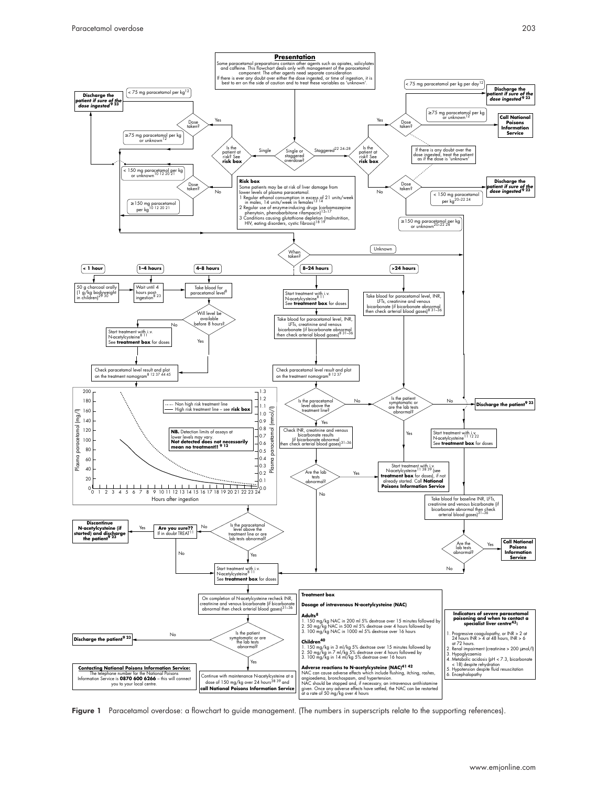

Figure 1 Paracetamol overdose: a flowchart to guide management. (The numbers in superscripts relate to the supporting references).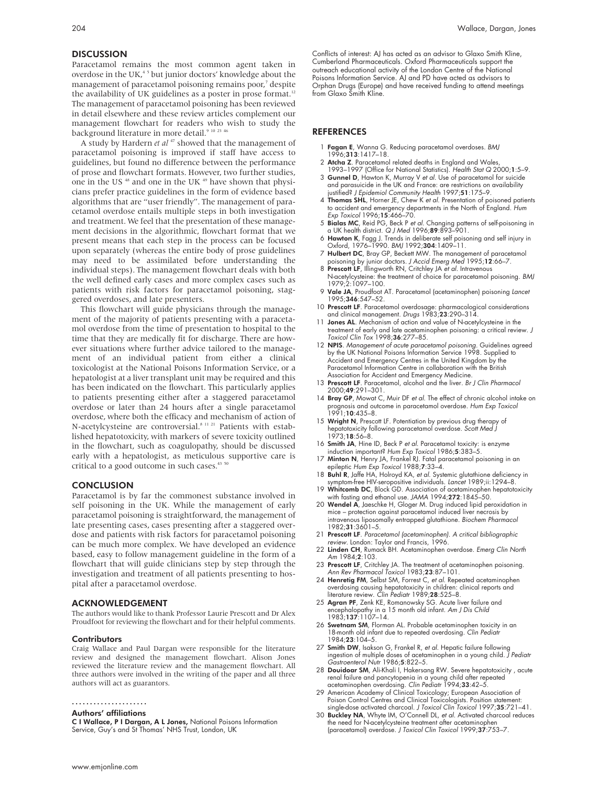## **DISCUSSION**

Paracetamol remains the most common agent taken in overdose in the UK,<sup>45</sup> but junior doctors' knowledge about the management of paracetamol poisoning remains poor,<sup>7</sup> despite the availability of UK guidelines as a poster in prose format.<sup>12</sup> The management of paracetamol poisoning has been reviewed in detail elsewhere and these review articles complement our management flowchart for readers who wish to study the background literature in more detail.<sup>9 10 23 46</sup>

A study by Hardern *et al* <sup>47</sup> showed that the management of paracetamol poisoning is improved if staff have access to guidelines, but found no difference between the performance of prose and flowchart formats. However, two further studies, one in the US<sup>48</sup> and one in the UK<sup>49</sup> have shown that physicians prefer practice guidelines in the form of evidence based algorithms that are "user friendly". The management of paracetamol overdose entails multiple steps in both investigation and treatment. We feel that the presentation of these management decisions in the algorithmic, flowchart format that we present means that each step in the process can be focused upon separately (whereas the entire body of prose guidelines may need to be assimilated before understanding the individual steps). The management flowchart deals with both the well defined early cases and more complex cases such as patients with risk factors for paracetamol poisoning, staggered overdoses, and late presenters.

This flowchart will guide physicians through the management of the majority of patients presenting with a paracetamol overdose from the time of presentation to hospital to the time that they are medically fit for discharge. There are however situations where further advice tailored to the management of an individual patient from either a clinical toxicologist at the National Poisons Information Service, or a hepatologist at a liver transplant unit may be required and this has been indicated on the flowchart. This particularly applies to patients presenting either after a staggered paracetamol overdose or later than 24 hours after a single paracetamol overdose, where both the efficacy and mechanism of action of N-acetylcysteine are controversial.<sup>8 11 21</sup> Patients with established hepatotoxicity, with markers of severe toxicity outlined in the flowchart, such as coagulopathy, should be discussed early with a hepatologist, as meticulous supportive care is critical to a good outcome in such cases. $43,50$ 

## **CONCLUSION**

Paracetamol is by far the commonest substance involved in self poisoning in the UK. While the management of early paracetamol poisoning is straightforward, the management of late presenting cases, cases presenting after a staggered overdose and patients with risk factors for paracetamol poisoning can be much more complex. We have developed an evidence based, easy to follow management guideline in the form of a flowchart that will guide clinicians step by step through the investigation and treatment of all patients presenting to hospital after a paracetamol overdose.

#### ACKNOWLEDGEMENT

The authors would like to thank Professor Laurie Prescott and Dr Alex Proudfoot for reviewing the flowchart and for their helpful comments.

#### **Contributors**

Craig Wallace and Paul Dargan were responsible for the literature review and designed the management flowchart. Alison Jones reviewed the literature review and the management flowchart. All three authors were involved in the writing of the paper and all three authors will act as guarantors.

#### .....................

Authors' affiliations

C I Wallace, P I Dargan, A L Jones, National Poisons Information Service, Guy's and St Thomas' NHS Trust, London, UK

Conflicts of interest: AJ has acted as an advisor to Glaxo Smith Kline, Cumberland Pharmaceuticals. Oxford Pharmaceuticals support the outreach educational activity of the London Centre of the National Poisons Information Service. AJ and PD have acted as advisors to Orphan Drugs (Europe) and have received funding to attend meetings from Glaxo Smith Kline.

## **REFERENCES**

- Fagan E, Wanna G. Reducing paracetamol overdoses. BMJ 1996;313:1417–18.
- 2 Atcha Z. Paracetamol related deaths in England and Wales, 1993–1997 (Office for National Statistics). Health Stat Q 2000;1:5–9.
- 3 Gunnel D, Hawton K, Murray V et al. Use of paracetamol for suicide and parasuicide in the UK and France: are restrictions on availability justified? J Epidemiol Community Health 1997;51:175–9.
- 4 Thomas SHL, Horner JE, Chew K et al. Presentation of poisoned patients to accident and emergency departments in the North of England. Hum Exp Toxicol 1996;15:466–70.
- 5 Bialas MC, Reid PG, Beck P et al. Changing patterns of self-poisoning in a UK health district. Q J Med 1996;89:893–901.
- 6 Hawton K, Fagg J. Trends in deliberate self poisoning and self injury in Oxford, 1976–1990. BMJ 1992;304:1409–11.
- 7 Hulbert DC, Bray GP, Beckett MW. The management of paracetamol poisoning by junior doctors. J Accid Emerg Med 1995;12:66–7.
- 8 Prescott LF, Illingworth RN, Critchley JA et al. Intravenous N-acetylcysteine: the treatment of choice for paracetamol poisoning. BMJ 1979;2:1097–100.
- 9 Vale JA, Proudfoot AT. Paracetamol (acetaminophen) poisoning Lancet 1995;346:547–52.
- 10 Prescott LF. Paracetamol overdosage: pharmacological considerations and clinical management. Drugs 1983;23:290-314
- 11 Jones AL. Mechanism of action and value of N-acetylcysteine in the treatment of early and late acetaminophen poisoning: a critical review. J Toxicol Clin Tox 1998;36:277–85.
- 12 NPIS. Management of acute paracetamol poisoning. Guidelines agreed by the UK National Poisons Information Service 1998. Supplied to Accident and Emergency Centres in the United Kingdom by the Paracetamol Information Centre in collaboration with the British Association for Accident and Emergency Medicine.
- 13 Prescott LF. Paracetamol, alcohol and the liver. Br J Clin Pharmacol 2000;49:291–301.
- 14 Bray GP, Mowat C, Muir DF et al. The effect of chronic alcohol intake on prognosis and outcome in paracetamol overdose. Hum Exp Toxicol  $1991$ ;10:435–8.
- 15 Wright N, Prescott LF. Potentiation by previous drug therapy of hepatotoxicity following paracetamol overdose. Scott Med J 1973;18:56–8.
- 16 Smith JA, Hine ID, Beck P et al. Paracetamol toxicity: is enzyme
- induction important? Hum Exp Toxicol 1986;5:383–5.<br>17 Minton N, Henry JA, Frankel RJ. Fatal paracetamol poisoning in an epileptic Hum Exp Toxicol 1988;7:33–4.
- 18 Buhl R, Jaffe HA, Holroyd KA, et al. Systemic glutathione deficiency in symptom-free HIV-seropositive individuals. Lancet 1989;ii:1294–8.
- 19 Whitcomb DC, Block GD. Association of acetaminophen hepatotoxicity with fasting and ethanol use. JAMA 1994;272:1845–50.
- 20 Wendel A, Jaeschke H, Gloger M. Drug induced lipid peroxidation in mice – protection against paracetamol induced liver necrosis by intravenous liposomally entrapped glutathione. Biochem Pharmacol 1982;31:3601–5.
- 21 Prescott LF. Paracetamol (acetaminophen). A critical bibliographic review. London: Taylor and Francis, 1996.
- 22 Linden CH, Rumack BH. Acetaminophen overdose. Emerg Clin North Am 1984;2:103.
- 23 Prescott LF, Critchley JA. The treatment of acetaminophen poisoning.
- Ann Rev Pharmacol Toxicol 1983;**23**:87–101.<br>24 **Henretig FM**, Selbst SM, Forrest C, *et al*. Repeated acetaminophen overdosing causing hepatotoxicity in children: clinical reports and<br>literature review. *Clin Pediatr* 1989;**28**:525–8.
- 25 Agran PF, Zenk KE, Romanowsky SG. Acute liver failure and encephalopathy in a 15 month old infant. Am J Dis Child 1983;137:1107–14.
- 26 Swetnam SM, Florman AL. Probable acetaminophen toxicity in an 18-month old infant due to repeated overdosing. Clin Pediatr 1984;23:104–5.
- 27 Smith DW, Isakson G, Frankel R, et al. Hepatic failure following ingestion of multiple doses of acetaminophen in a young child. J Pediatr Gastroenterol Nutr 1986;5:822-5.
- 28 Douidoar SM, Ali-Khali I, Hakersang RW. Severe hepatotoxicity , acute renal failure and pancytopenia in a young child after repeated acetaminophen overdosing. Clin Pediatr 1994;33:42–5.
- 29 American Academy of Clinical Toxicology; European Association of Poison Control Centres and Clinical Toxicologists. Position statement: single-dose activated charcoal. J Toxicol Clin Toxicol 1997;35:721-41.
- 30 Buckley NA, Whyte IM, O'Connell DL, et al. Activated charcoal reduces the need for N-acetylcysteine treatment after acetaminophen (paracetamol) overdose. J Toxicol Clin Toxicol 1999;37:753–7.